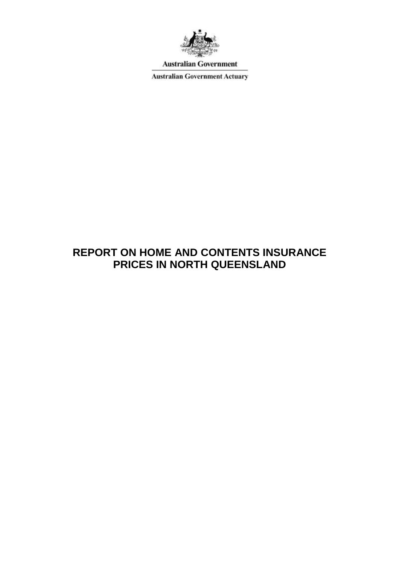

**Australian Government** 

**Australian Government Actuary** 

# **REPORT ON HOME AND CONTENTS INSURANCE PRICES IN NORTH QUEENSLAND**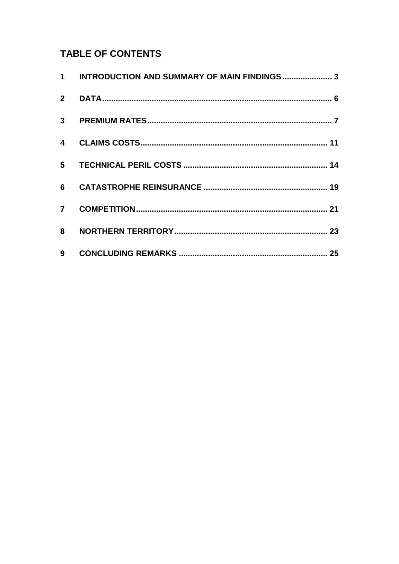# **TABLE OF CONTENTS**

| 1 INTRODUCTION AND SUMMARY OF MAIN FINDINGS 3 |  |
|-----------------------------------------------|--|
|                                               |  |
|                                               |  |
|                                               |  |
|                                               |  |
|                                               |  |
|                                               |  |
|                                               |  |
|                                               |  |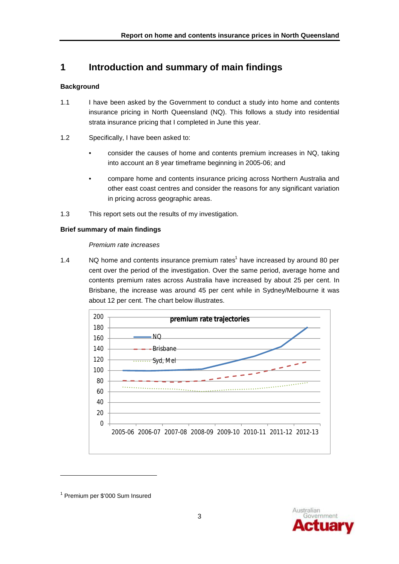## **1 Introduction and summary of main findings**

### **Background**

- 1.1 I have been asked by the Government to conduct a study into home and contents insurance pricing in North Queensland (NQ). This follows a study into residential strata insurance pricing that I completed in June this year.
- 1.2 Specifically, I have been asked to:
	- consider the causes of home and contents premium increases in NQ, taking into account an 8 year timeframe beginning in 2005-06; and
	- compare home and contents insurance pricing across Northern Australia and other east coast centres and consider the reasons for any significant variation in pricing across geographic areas.
- 1.3 This report sets out the results of my investigation.

### **Brief summary of main findings**

### *Premium rate increases*

1.4 NQ home and contents insurance premium rates<sup>1</sup> have increased by around 80 per cent over the period of the investigation. Over the same period, average home and contents premium rates across Australia have increased by about 25 per cent. In Brisbane, the increase was around 45 per cent while in Sydney/Melbourne it was about 12 per cent. The chart below illustrates.





<sup>&</sup>lt;sup>1</sup> Premium per \$'000 Sum Insured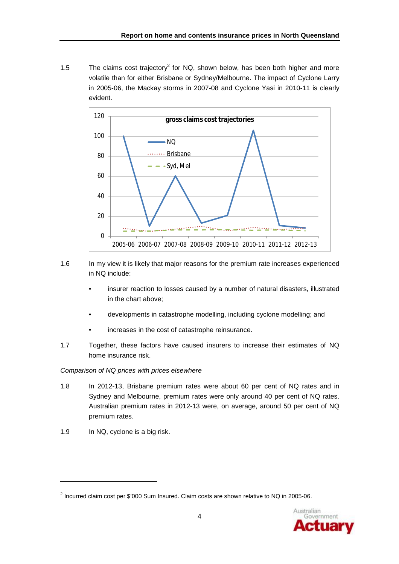1.5 The claims cost trajectory<sup>2</sup> for NQ, shown below, has been both higher and more volatile than for either Brisbane or Sydney/Melbourne. The impact of Cyclone Larry in 2005-06, the Mackay storms in 2007-08 and Cyclone Yasi in 2010-11 is clearly evident.



- 1.6 In my view it is likely that major reasons for the premium rate increases experienced in NQ include:
	- insurer reaction to losses caused by a number of natural disasters, illustrated in the chart above;
	- developments in catastrophe modelling, including cyclone modelling; and
	- increases in the cost of catastrophe reinsurance.
- 1.7 Together, these factors have caused insurers to increase their estimates of NQ home insurance risk.

#### *Comparison of NQ prices with prices elsewhere*

- 1.8 In 2012-13, Brisbane premium rates were about 60 per cent of NQ rates and in Sydney and Melbourne, premium rates were only around 40 per cent of NQ rates. Australian premium rates in 2012-13 were, on average, around 50 per cent of NQ premium rates.
- 1.9 In NQ, cyclone is a big risk.

<sup>&</sup>lt;sup>2</sup> Incurred claim cost per \$'000 Sum Insured. Claim costs are shown relative to NQ in 2005-06.

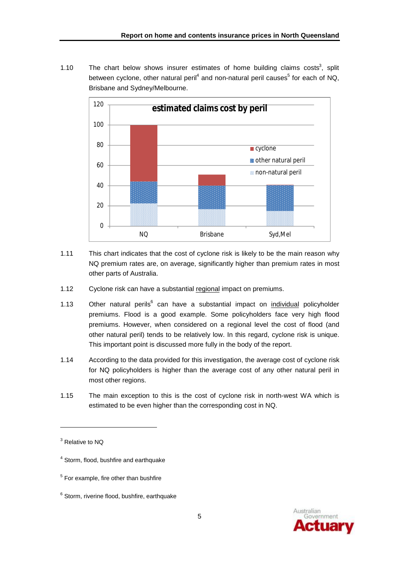1.10 The chart below shows insurer estimates of home building claims costs<sup>3</sup>, split between cyclone, other natural peril<sup>4</sup> and non-natural peril causes<sup>5</sup> for each of NQ, Brisbane and Sydney/Melbourne.



- 1.11 This chart indicates that the cost of cyclone risk is likely to be the main reason why NQ premium rates are, on average, significantly higher than premium rates in most other parts of Australia.
- 1.12 Cyclone risk can have a substantial regional impact on premiums.
- 1.13 Other natural perils<sup>6</sup> can have a substantial impact on *individual* policyholder premiums. Flood is a good example. Some policyholders face very high flood premiums. However, when considered on a regional level the cost of flood (and other natural peril) tends to be relatively low. In this regard, cyclone risk is unique. This important point is discussed more fully in the body of the report.
- 1.14 According to the data provided for this investigation, the average cost of cyclone risk for NQ policyholders is higher than the average cost of any other natural peril in most other regions.
- 1.15 The main exception to this is the cost of cyclone risk in north-west WA which is estimated to be even higher than the corresponding cost in NQ.



<sup>&</sup>lt;sup>3</sup> Relative to NQ

<sup>&</sup>lt;sup>4</sup> Storm, flood, bushfire and earthquake

<sup>&</sup>lt;sup>5</sup> For example, fire other than bushfire

 $6$  Storm, riverine flood, bushfire, earthquake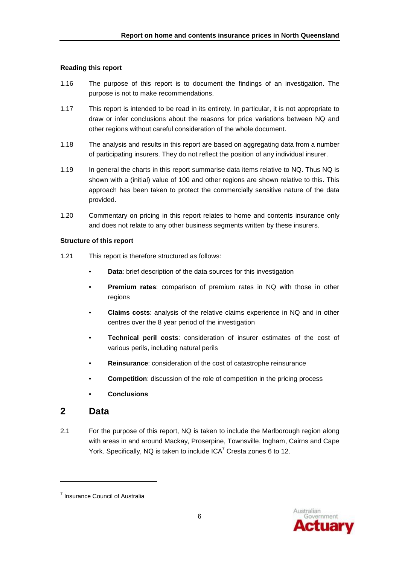#### **Reading this report**

- 1.16 The purpose of this report is to document the findings of an investigation. The purpose is not to make recommendations.
- 1.17 This report is intended to be read in its entirety. In particular, it is not appropriate to draw or infer conclusions about the reasons for price variations between NQ and other regions without careful consideration of the whole document.
- 1.18 The analysis and results in this report are based on aggregating data from a number of participating insurers. They do not reflect the position of any individual insurer.
- 1.19 In general the charts in this report summarise data items relative to NQ. Thus NQ is shown with a (initial) value of 100 and other regions are shown relative to this. This approach has been taken to protect the commercially sensitive nature of the data provided.
- 1.20 Commentary on pricing in this report relates to home and contents insurance only and does not relate to any other business segments written by these insurers.

#### **Structure of this report**

- 1.21 This report is therefore structured as follows:
	- **Data**: brief description of the data sources for this investigation
	- **Premium rates**: comparison of premium rates in NQ with those in other regions
	- **Claims costs**: analysis of the relative claims experience in NQ and in other centres over the 8 year period of the investigation
	- **Technical peril costs**: consideration of insurer estimates of the cost of various perils, including natural perils
	- **Reinsurance**: consideration of the cost of catastrophe reinsurance
	- **Competition:** discussion of the role of competition in the pricing process
	- **Conclusions**

### **2 Data**

l

2.1 For the purpose of this report, NQ is taken to include the Marlborough region along with areas in and around Mackay, Proserpine, Townsville, Ingham, Cairns and Cape York. Specifically, NQ is taken to include  $ICA<sup>7</sup>$  Cresta zones 6 to 12.



<sup>&</sup>lt;sup>7</sup> Insurance Council of Australia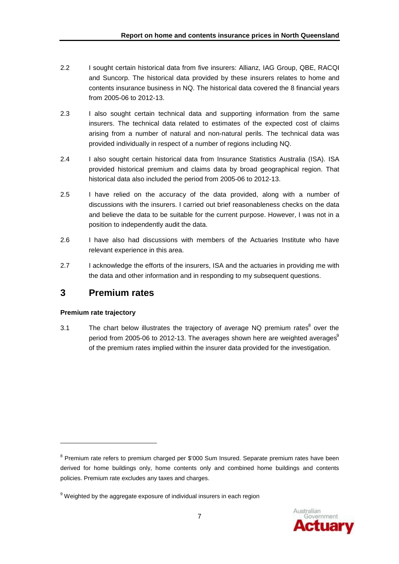- 2.2 I sought certain historical data from five insurers: Allianz, IAG Group, QBE, RACQI and Suncorp. The historical data provided by these insurers relates to home and contents insurance business in NQ. The historical data covered the 8 financial years from 2005-06 to 2012-13.
- 2.3 I also sought certain technical data and supporting information from the same insurers. The technical data related to estimates of the expected cost of claims arising from a number of natural and non-natural perils. The technical data was provided individually in respect of a number of regions including NQ.
- 2.4 I also sought certain historical data from Insurance Statistics Australia (ISA). ISA provided historical premium and claims data by broad geographical region. That historical data also included the period from 2005-06 to 2012-13.
- 2.5 I have relied on the accuracy of the data provided, along with a number of discussions with the insurers. I carried out brief reasonableness checks on the data and believe the data to be suitable for the current purpose. However, I was not in a position to independently audit the data.
- 2.6 I have also had discussions with members of the Actuaries Institute who have relevant experience in this area.
- 2.7 I acknowledge the efforts of the insurers, ISA and the actuaries in providing me with the data and other information and in responding to my subsequent questions.

### **3 Premium rates**

### **Premium rate trajectory**

l

3.1 The chart below illustrates the trajectory of average NQ premium rates<sup>8</sup> over the period from 2005-06 to 2012-13. The averages shown here are weighted averages $9$ of the premium rates implied within the insurer data provided for the investigation.



<sup>&</sup>lt;sup>8</sup> Premium rate refers to premium charged per \$'000 Sum Insured. Separate premium rates have been derived for home buildings only, home contents only and combined home buildings and contents policies. Premium rate excludes any taxes and charges.

 $9$  Weighted by the aggregate exposure of individual insurers in each region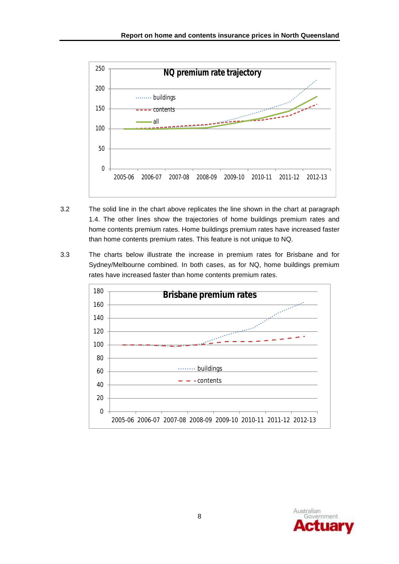

- 3.2 The solid line in the chart above replicates the line shown in the chart at paragraph 1.4. The other lines show the trajectories of home buildings premium rates and home contents premium rates. Home buildings premium rates have increased faster than home contents premium rates. This feature is not unique to NQ.
- 3.3 The charts below illustrate the increase in premium rates for Brisbane and for Sydney/Melbourne combined. In both cases, as for NQ, home buildings premium rates have increased faster than home contents premium rates.



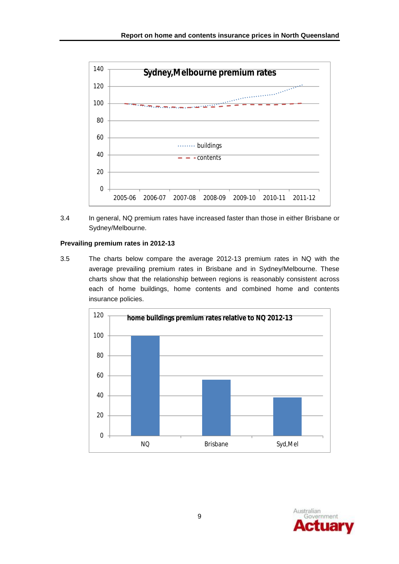

3.4 In general, NQ premium rates have increased faster than those in either Brisbane or Sydney/Melbourne.

### **Prevailing premium rates in 2012-13**

3.5 The charts below compare the average 2012-13 premium rates in NQ with the average prevailing premium rates in Brisbane and in Sydney/Melbourne. These charts show that the relationship between regions is reasonably consistent across each of home buildings, home contents and combined home and contents insurance policies.



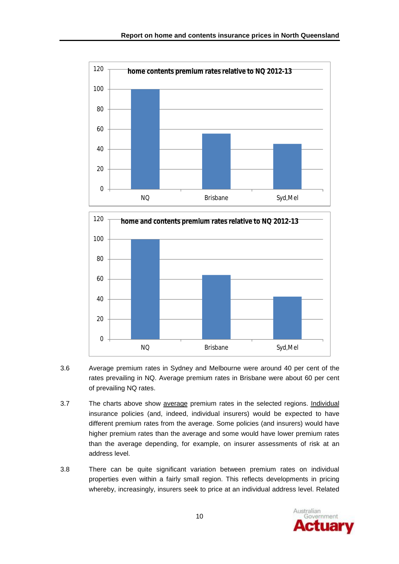



- 3.6 Average premium rates in Sydney and Melbourne were around 40 per cent of the rates prevailing in NQ. Average premium rates in Brisbane were about 60 per cent of prevailing NQ rates.
- 3.7 The charts above show average premium rates in the selected regions. Individual insurance policies (and, indeed, individual insurers) would be expected to have different premium rates from the average. Some policies (and insurers) would have higher premium rates than the average and some would have lower premium rates than the average depending, for example, on insurer assessments of risk at an address level.
- 3.8 There can be quite significant variation between premium rates on individual properties even within a fairly small region. This reflects developments in pricing whereby, increasingly, insurers seek to price at an individual address level. Related

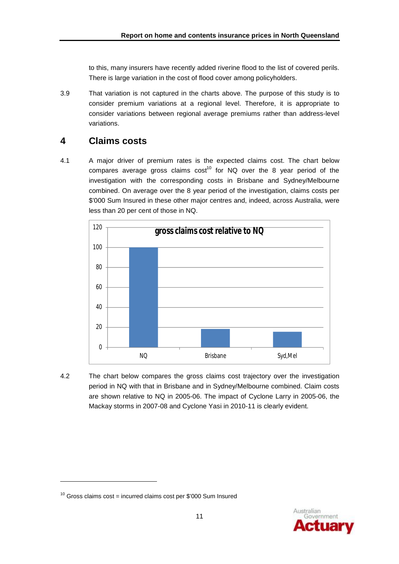to this, many insurers have recently added riverine flood to the list of covered perils. There is large variation in the cost of flood cover among policyholders.

3.9 That variation is not captured in the charts above. The purpose of this study is to consider premium variations at a regional level. Therefore, it is appropriate to consider variations between regional average premiums rather than address-level variations.

### **4 Claims costs**

4.1 A major driver of premium rates is the expected claims cost. The chart below compares average gross claims  $cost^{10}$  for NQ over the 8 year period of the investigation with the corresponding costs in Brisbane and Sydney/Melbourne combined. On average over the 8 year period of the investigation, claims costs per \$'000 Sum Insured in these other major centres and, indeed, across Australia, were less than 20 per cent of those in NQ.



4.2 The chart below compares the gross claims cost trajectory over the investigation period in NQ with that in Brisbane and in Sydney/Melbourne combined. Claim costs are shown relative to NQ in 2005-06. The impact of Cyclone Larry in 2005-06, the Mackay storms in 2007-08 and Cyclone Yasi in 2010-11 is clearly evident.



 $10$  Gross claims cost = incurred claims cost per \$'000 Sum Insured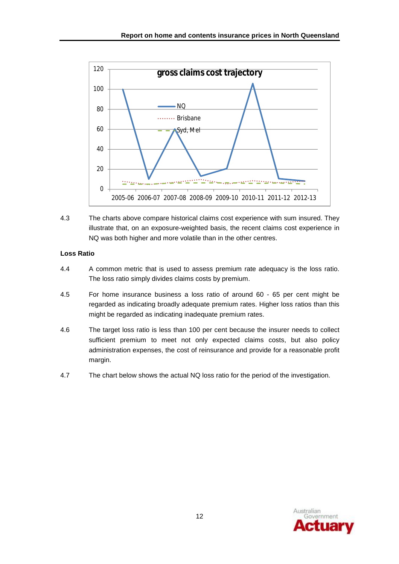

4.3 The charts above compare historical claims cost experience with sum insured. They illustrate that, on an exposure-weighted basis, the recent claims cost experience in NQ was both higher and more volatile than in the other centres.

### **Loss Ratio**

- 4.4 A common metric that is used to assess premium rate adequacy is the loss ratio. The loss ratio simply divides claims costs by premium.
- 4.5 For home insurance business a loss ratio of around 60 65 per cent might be regarded as indicating broadly adequate premium rates. Higher loss ratios than this might be regarded as indicating inadequate premium rates.
- 4.6 The target loss ratio is less than 100 per cent because the insurer needs to collect sufficient premium to meet not only expected claims costs, but also policy administration expenses, the cost of reinsurance and provide for a reasonable profit margin.
- 4.7 The chart below shows the actual NQ loss ratio for the period of the investigation.

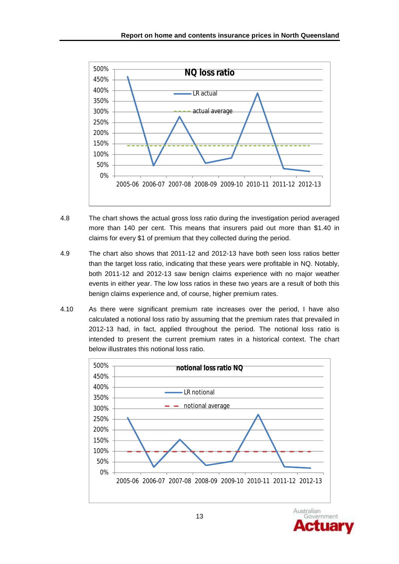

- 4.8 The chart shows the actual gross loss ratio during the investigation period averaged more than 140 per cent. This means that insurers paid out more than \$1.40 in claims for every \$1 of premium that they collected during the period.
- 4.9 The chart also shows that 2011-12 and 2012-13 have both seen loss ratios better than the target loss ratio, indicating that these years were profitable in NQ. Notably, both 2011-12 and 2012-13 saw benign claims experience with no major weather events in either year. The low loss ratios in these two years are a result of both this benign claims experience and, of course, higher premium rates.
- 4.10 As there were significant premium rate increases over the period, I have also calculated a notional loss ratio by assuming that the premium rates that prevailed in 2012-13 had, in fact, applied throughout the period. The notional loss ratio is intended to present the current premium rates in a historical context. The chart below illustrates this notional loss ratio.



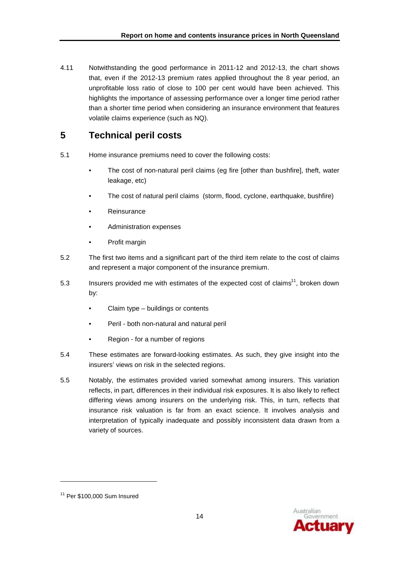4.11 Notwithstanding the good performance in 2011-12 and 2012-13, the chart shows that, even if the 2012-13 premium rates applied throughout the 8 year period, an unprofitable loss ratio of close to 100 per cent would have been achieved. This highlights the importance of assessing performance over a longer time period rather than a shorter time period when considering an insurance environment that features volatile claims experience (such as NQ).

## **5 Technical peril costs**

- 5.1 Home insurance premiums need to cover the following costs:
	- The cost of non-natural peril claims (eg fire [other than bushfire], theft, water leakage, etc)
	- The cost of natural peril claims (storm, flood, cyclone, earthquake, bushfire)
	- Reinsurance
	- Administration expenses
	- Profit margin
- 5.2 The first two items and a significant part of the third item relate to the cost of claims and represent a major component of the insurance premium.
- 5.3 Insurers provided me with estimates of the expected cost of claims<sup>11</sup>, broken down by:
	- Claim type buildings or contents
	- Peril both non-natural and natural peril
	- Region for a number of regions
- 5.4 These estimates are forward-looking estimates. As such, they give insight into the insurers' views on risk in the selected regions.
- 5.5 Notably, the estimates provided varied somewhat among insurers. This variation reflects, in part, differences in their individual risk exposures. It is also likely to reflect differing views among insurers on the underlying risk. This, in turn, reflects that insurance risk valuation is far from an exact science. It involves analysis and interpretation of typically inadequate and possibly inconsistent data drawn from a variety of sources.



<sup>&</sup>lt;sup>11</sup> Per \$100,000 Sum Insured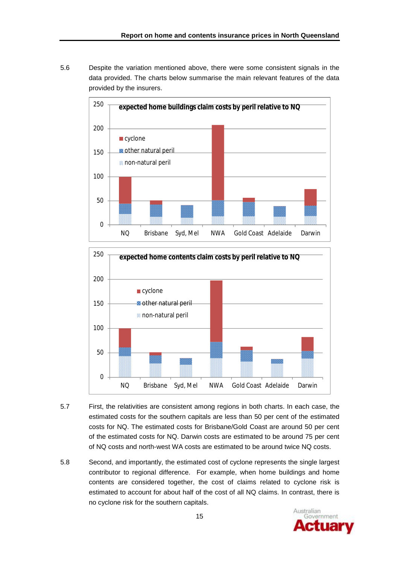5.6 Despite the variation mentioned above, there were some consistent signals in the data provided. The charts below summarise the main relevant features of the data provided by the insurers.





- 5.7 First, the relativities are consistent among regions in both charts. In each case, the estimated costs for the southern capitals are less than 50 per cent of the estimated costs for NQ. The estimated costs for Brisbane/Gold Coast are around 50 per cent of the estimated costs for NQ. Darwin costs are estimated to be around 75 per cent of NQ costs and north-west WA costs are estimated to be around twice NQ costs.
- 5.8 Second, and importantly, the estimated cost of cyclone represents the single largest contributor to regional difference. For example, when home buildings and home contents are considered together, the cost of claims related to cyclone risk is estimated to account for about half of the cost of all NQ claims. In contrast, there is no cyclone risk for the southern capitals.

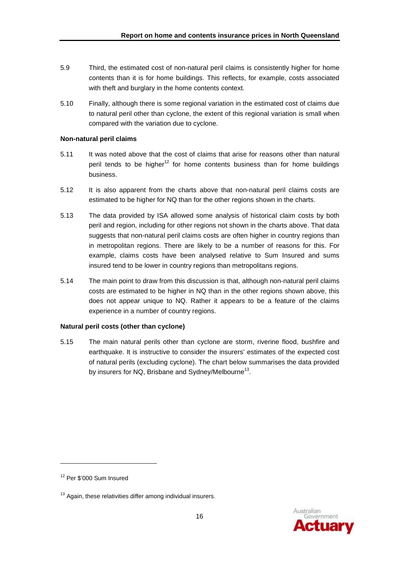- 5.9 Third, the estimated cost of non-natural peril claims is consistently higher for home contents than it is for home buildings. This reflects, for example, costs associated with theft and burglary in the home contents context.
- 5.10 Finally, although there is some regional variation in the estimated cost of claims due to natural peril other than cyclone, the extent of this regional variation is small when compared with the variation due to cyclone.

#### **Non-natural peril claims**

- 5.11 It was noted above that the cost of claims that arise for reasons other than natural peril tends to be higher<sup>12</sup> for home contents business than for home buildings business.
- 5.12 It is also apparent from the charts above that non-natural peril claims costs are estimated to be higher for NQ than for the other regions shown in the charts.
- 5.13 The data provided by ISA allowed some analysis of historical claim costs by both peril and region, including for other regions not shown in the charts above. That data suggests that non-natural peril claims costs are often higher in country regions than in metropolitan regions. There are likely to be a number of reasons for this. For example, claims costs have been analysed relative to Sum Insured and sums insured tend to be lower in country regions than metropolitans regions.
- 5.14 The main point to draw from this discussion is that, although non-natural peril claims costs are estimated to be higher in NQ than in the other regions shown above, this does not appear unique to NQ. Rather it appears to be a feature of the claims experience in a number of country regions.

#### **Natural peril costs (other than cyclone)**

5.15 The main natural perils other than cyclone are storm, riverine flood, bushfire and earthquake. It is instructive to consider the insurers' estimates of the expected cost of natural perils (excluding cyclone). The chart below summarises the data provided by insurers for NQ, Brisbane and Sydney/Melbourne $^{13}$ .



<sup>&</sup>lt;sup>12</sup> Per \$'000 Sum Insured

 $13$  Again, these relativities differ among individual insurers.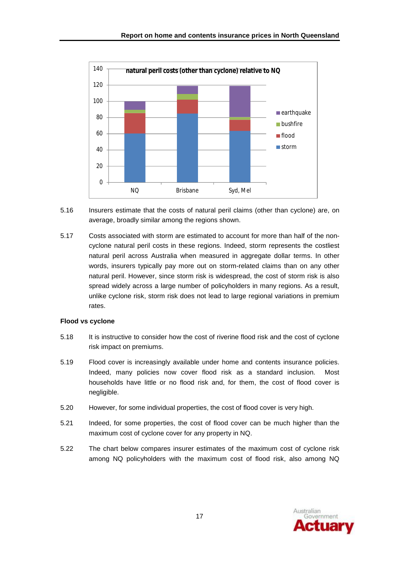

- 5.16 Insurers estimate that the costs of natural peril claims (other than cyclone) are, on average, broadly similar among the regions shown.
- 5.17 Costs associated with storm are estimated to account for more than half of the noncyclone natural peril costs in these regions. Indeed, storm represents the costliest natural peril across Australia when measured in aggregate dollar terms. In other words, insurers typically pay more out on storm-related claims than on any other natural peril. However, since storm risk is widespread, the cost of storm risk is also spread widely across a large number of policyholders in many regions. As a result, unlike cyclone risk, storm risk does not lead to large regional variations in premium rates.

#### **Flood vs cyclone**

- 5.18 It is instructive to consider how the cost of riverine flood risk and the cost of cyclone risk impact on premiums.
- 5.19 Flood cover is increasingly available under home and contents insurance policies. Indeed, many policies now cover flood risk as a standard inclusion. Most households have little or no flood risk and, for them, the cost of flood cover is negligible.
- 5.20 However, for some individual properties, the cost of flood cover is very high.
- 5.21 Indeed, for some properties, the cost of flood cover can be much higher than the maximum cost of cyclone cover for any property in NQ.
- 5.22 The chart below compares insurer estimates of the maximum cost of cyclone risk among NQ policyholders with the maximum cost of flood risk, also among NQ

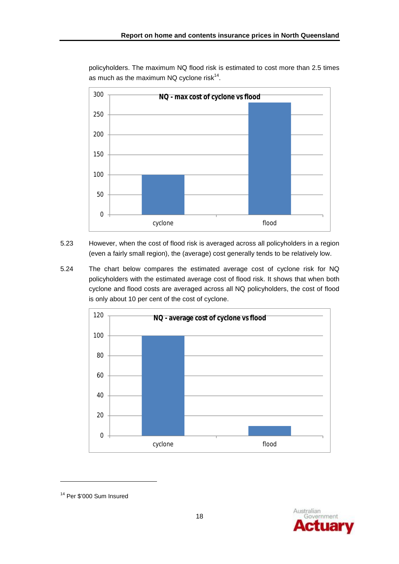policyholders. The maximum NQ flood risk is estimated to cost more than 2.5 times as much as the maximum NQ cyclone risk $^{14}$ .



- 5.23 However, when the cost of flood risk is averaged across all policyholders in a region (even a fairly small region), the (average) cost generally tends to be relatively low.
- 5.24 The chart below compares the estimated average cost of cyclone risk for NQ policyholders with the estimated average cost of flood risk. It shows that when both cyclone and flood costs are averaged across all NQ policyholders, the cost of flood is only about 10 per cent of the cost of cyclone.





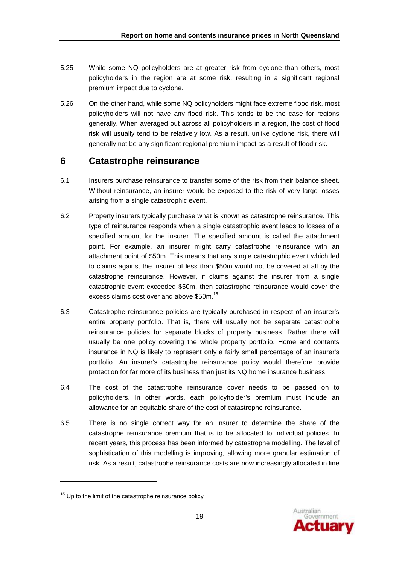- 5.25 While some NQ policyholders are at greater risk from cyclone than others, most policyholders in the region are at some risk, resulting in a significant regional premium impact due to cyclone.
- 5.26 On the other hand, while some NQ policyholders might face extreme flood risk, most policyholders will not have any flood risk. This tends to be the case for regions generally. When averaged out across all policyholders in a region, the cost of flood risk will usually tend to be relatively low. As a result, unlike cyclone risk, there will generally not be any significant regional premium impact as a result of flood risk.

### **6 Catastrophe reinsurance**

- 6.1 Insurers purchase reinsurance to transfer some of the risk from their balance sheet. Without reinsurance, an insurer would be exposed to the risk of very large losses arising from a single catastrophic event.
- 6.2 Property insurers typically purchase what is known as catastrophe reinsurance. This type of reinsurance responds when a single catastrophic event leads to losses of a specified amount for the insurer. The specified amount is called the attachment point. For example, an insurer might carry catastrophe reinsurance with an attachment point of \$50m. This means that any single catastrophic event which led to claims against the insurer of less than \$50m would not be covered at all by the catastrophe reinsurance. However, if claims against the insurer from a single catastrophic event exceeded \$50m, then catastrophe reinsurance would cover the excess claims cost over and above \$50m.<sup>15</sup>
- 6.3 Catastrophe reinsurance policies are typically purchased in respect of an insurer's entire property portfolio. That is, there will usually not be separate catastrophe reinsurance policies for separate blocks of property business. Rather there will usually be one policy covering the whole property portfolio. Home and contents insurance in NQ is likely to represent only a fairly small percentage of an insurer's portfolio. An insurer's catastrophe reinsurance policy would therefore provide protection for far more of its business than just its NQ home insurance business.
- 6.4 The cost of the catastrophe reinsurance cover needs to be passed on to policyholders. In other words, each policyholder's premium must include an allowance for an equitable share of the cost of catastrophe reinsurance.
- 6.5 There is no single correct way for an insurer to determine the share of the catastrophe reinsurance premium that is to be allocated to individual policies. In recent years, this process has been informed by catastrophe modelling. The level of sophistication of this modelling is improving, allowing more granular estimation of risk. As a result, catastrophe reinsurance costs are now increasingly allocated in line



<sup>&</sup>lt;sup>15</sup> Up to the limit of the catastrophe reinsurance policy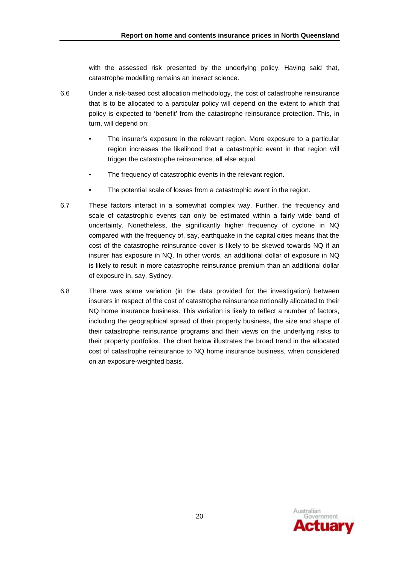with the assessed risk presented by the underlying policy. Having said that, catastrophe modelling remains an inexact science.

- 6.6 Under a risk-based cost allocation methodology, the cost of catastrophe reinsurance that is to be allocated to a particular policy will depend on the extent to which that policy is expected to 'benefit' from the catastrophe reinsurance protection. This, in turn, will depend on:
	- The insurer's exposure in the relevant region. More exposure to a particular region increases the likelihood that a catastrophic event in that region will trigger the catastrophe reinsurance, all else equal.
	- The frequency of catastrophic events in the relevant region.
	- The potential scale of losses from a catastrophic event in the region.
- 6.7 These factors interact in a somewhat complex way. Further, the frequency and scale of catastrophic events can only be estimated within a fairly wide band of uncertainty. Nonetheless, the significantly higher frequency of cyclone in NQ compared with the frequency of, say, earthquake in the capital cities means that the cost of the catastrophe reinsurance cover is likely to be skewed towards NQ if an insurer has exposure in NQ. In other words, an additional dollar of exposure in NQ is likely to result in more catastrophe reinsurance premium than an additional dollar of exposure in, say, Sydney.
- 6.8 There was some variation (in the data provided for the investigation) between insurers in respect of the cost of catastrophe reinsurance notionally allocated to their NQ home insurance business. This variation is likely to reflect a number of factors, including the geographical spread of their property business, the size and shape of their catastrophe reinsurance programs and their views on the underlying risks to their property portfolios. The chart below illustrates the broad trend in the allocated cost of catastrophe reinsurance to NQ home insurance business, when considered on an exposure-weighted basis.

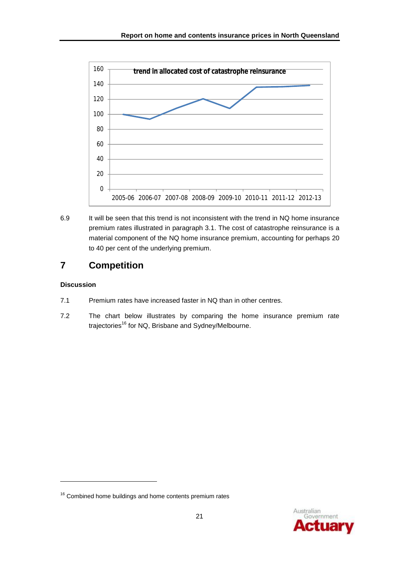

6.9 It will be seen that this trend is not inconsistent with the trend in NQ home insurance premium rates illustrated in paragraph 3.1. The cost of catastrophe reinsurance is a material component of the NQ home insurance premium, accounting for perhaps 20 to 40 per cent of the underlying premium.

# **7 Competition**

### **Discussion**

- 7.1 Premium rates have increased faster in NQ than in other centres.
- 7.2 The chart below illustrates by comparing the home insurance premium rate trajectories<sup>16</sup> for NQ, Brisbane and Sydney/Melbourne.



<sup>&</sup>lt;sup>16</sup> Combined home buildings and home contents premium rates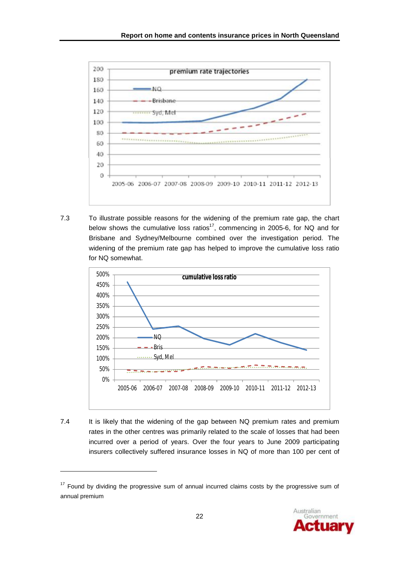

7.3 To illustrate possible reasons for the widening of the premium rate gap, the chart below shows the cumulative loss ratios<sup>17</sup>, commencing in 2005-6, for NQ and for Brisbane and Sydney/Melbourne combined over the investigation period. The widening of the premium rate gap has helped to improve the cumulative loss ratio for NQ somewhat.



7.4 It is likely that the widening of the gap between NQ premium rates and premium rates in the other centres was primarily related to the scale of losses that had been incurred over a period of years. Over the four years to June 2009 participating insurers collectively suffered insurance losses in NQ of more than 100 per cent of



<sup>&</sup>lt;sup>17</sup> Found by dividing the progressive sum of annual incurred claims costs by the progressive sum of annual premium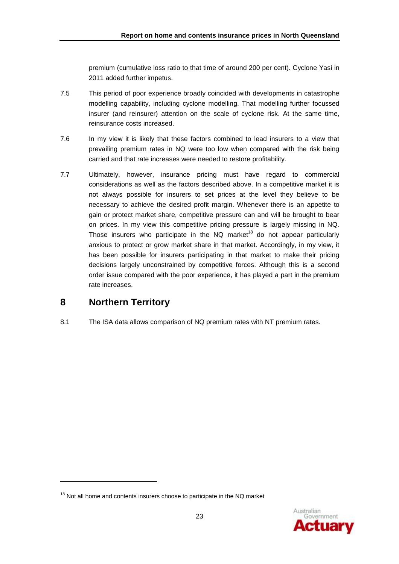premium (cumulative loss ratio to that time of around 200 per cent). Cyclone Yasi in 2011 added further impetus.

- 7.5 This period of poor experience broadly coincided with developments in catastrophe modelling capability, including cyclone modelling. That modelling further focussed insurer (and reinsurer) attention on the scale of cyclone risk. At the same time, reinsurance costs increased.
- 7.6 In my view it is likely that these factors combined to lead insurers to a view that prevailing premium rates in NQ were too low when compared with the risk being carried and that rate increases were needed to restore profitability.
- 7.7 Ultimately, however, insurance pricing must have regard to commercial considerations as well as the factors described above. In a competitive market it is not always possible for insurers to set prices at the level they believe to be necessary to achieve the desired profit margin. Whenever there is an appetite to gain or protect market share, competitive pressure can and will be brought to bear on prices. In my view this competitive pricing pressure is largely missing in NQ. Those insurers who participate in the NQ market<sup>18</sup> do not appear particularly anxious to protect or grow market share in that market. Accordingly, in my view, it has been possible for insurers participating in that market to make their pricing decisions largely unconstrained by competitive forces. Although this is a second order issue compared with the poor experience, it has played a part in the premium rate increases.

### **8 Northern Territory**

l

8.1 The ISA data allows comparison of NQ premium rates with NT premium rates.

 $18$  Not all home and contents insurers choose to participate in the NQ market

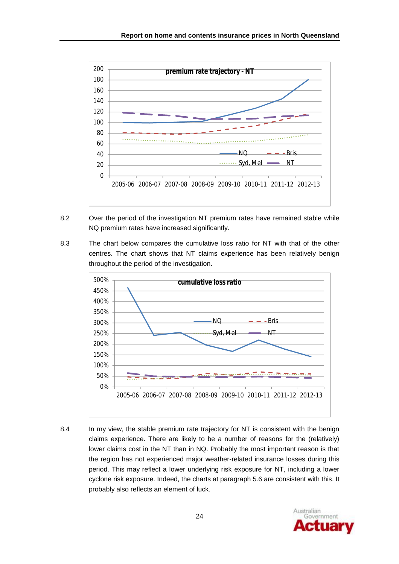

- 8.2 Over the period of the investigation NT premium rates have remained stable while NQ premium rates have increased significantly.
- 8.3 The chart below compares the cumulative loss ratio for NT with that of the other centres. The chart shows that NT claims experience has been relatively benign throughout the period of the investigation.



8.4 In my view, the stable premium rate trajectory for NT is consistent with the benign claims experience. There are likely to be a number of reasons for the (relatively) lower claims cost in the NT than in NQ. Probably the most important reason is that the region has not experienced major weather-related insurance losses during this period. This may reflect a lower underlying risk exposure for NT, including a lower cyclone risk exposure. Indeed, the charts at paragraph 5.6 are consistent with this. It probably also reflects an element of luck.